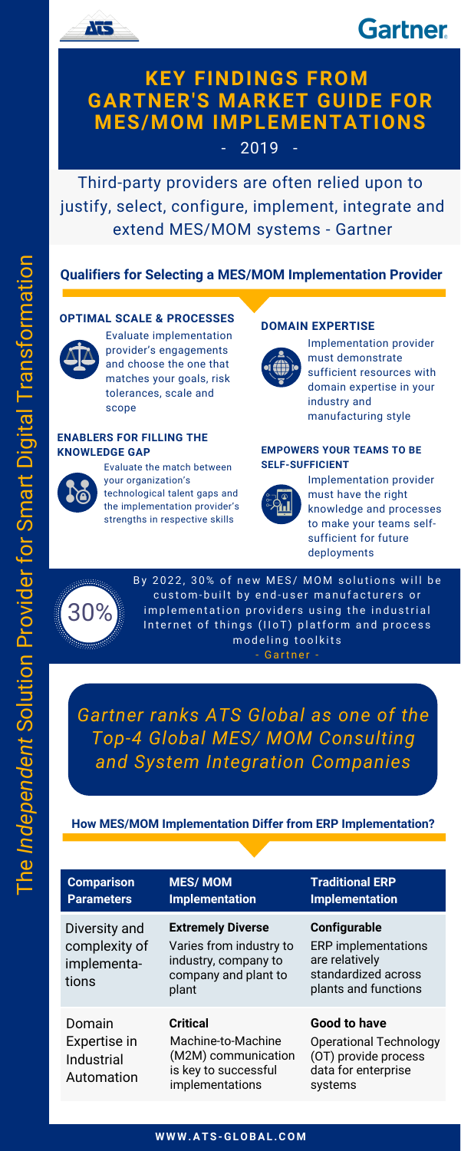Third-party providers are often relied upon to justify, select, configure, implement, integrate and extend MES/MOM systems - Gartner

*Gartner ranks ATS Global as one of the Top-4 Global MES/ MOM Consulting and System Integration Companies*





## **KEY FINDINGS FROM GARTNER'S MARKET GUIDE FOR MES/MOM IMPLEMENTATIONS**

2019

Evaluate implementation provider's engagements and choose the one that matches your goals, risk tolerances, scale and scope

#### **OPTIMAL SCALE & PROCESSES**



## **Qualifiers for Selecting a MES/MOM Implementation Provider**

Implementation provider must demonstrate sufficient resources with domain expertise in your industry and manufacturing style

#### **DOMAIN EXPERTISE**



Evaluate the match between your organization's technological talent gaps and the implementation provider's

strengths in respective skills

### **ENABLERS FOR FILLING THE KNOWLEDGE GAP**



Implementation provider must have the right knowledge and processes to make your teams selfsufficient for future deployments

#### **EMPOWERS YOUR TEAMS TO BE SELF-SUFFICIENT**





By 2022, 30% of new MES/ MOM solutions will be custom-built by end-user manufacturers or implementation providers using the industrial Internet of things (IIoT) platform and process modeling toolkits

- Gartner -

## **How MES/MOM Implementation Differ from ERP Implementation?**

| <b>Comparison</b><br><b>Parameters</b>                 | <b>MES/MOM</b><br><b>Implementation</b>                                                                      | <b>Traditional ERP</b><br><b>Implementation</b>                                                                    |
|--------------------------------------------------------|--------------------------------------------------------------------------------------------------------------|--------------------------------------------------------------------------------------------------------------------|
| Diversity and<br>complexity of<br>implementa-<br>tions | <b>Extremely Diverse</b><br>Varies from industry to<br>industry, company to<br>company and plant to<br>plant | <b>Configurable</b><br><b>ERP</b> implementations<br>are relatively<br>standardized across<br>plants and functions |
| Domain<br>Expertise in<br>Industrial<br>Automation     | <b>Critical</b><br>Machine-to-Machine<br>(M2M) communication<br>is key to successful<br>implementations      | <b>Good to have</b><br><b>Operational Technology</b><br>(OT) provide process<br>data for enterprise<br>systems     |

 $\blacksquare$